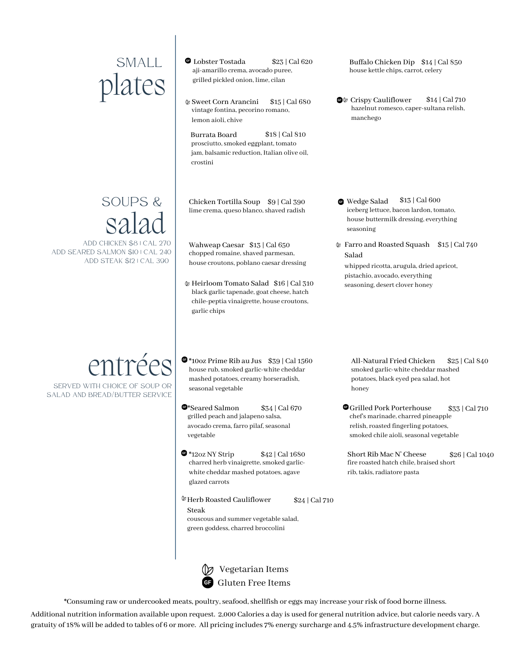## lates

## salad

ADD CHICKEN \$8 | CAL 270 ADD SEARED SALMON \$10 | CAL 240 ADD STEAK \$12 | CAL 390

## entrées

SERVED WITH CHOICE OF SOUP OR SALAD AND BREAD/BUTTER SERVICE

- $SMALL$   $\bullet$  Lobster Tostada  $$23$  | Cal 620 Buffalo Chicken Dip<br>aji-amarillo crema, avocado puree, house kettle chips, carr grilled pickled onion, lime, cilan
	- Sweet Corn Arancini vintage fontina, pecorino romano, lemon aioli, chive \$15 | Cal 680

Burrata Board prosciutto, smoked eggplant, tomato jam, balsamic reduction, Italian olive oil, crostini \$18 | Cal 810

 $\text{SOUPS} \& \quad$  Chicken Tortilla Soup  $\text{Syl Cal}$  390 Wedge Salad

Wahweap Caesar \$13 | Cal 650 chopped romaine, shaved parmesan, house croutons, poblano caesar dressing

Heirloom Tomato Salad \$16 | Cal 310 black garlic tapenade, goat cheese, hatch chile-peptia vinaigrette, house croutons, garlic chips

 $\bullet$  \*10oz Prime Rib au Jus  $\$39|$  Cal 1560 house rub, smoked garlic-white cheddar mashed potatoes, creamy horseradish,

\$34 | Cal 670

\$42 | Cal 1680

seasonal vegetable

\*Seared Salmon

vegetable

 $\bullet$  \*12oz NY Strip

glazed carrots

- house kettle chips, carrot, celery  $$23 |$  Cal 620 Buffalo Chicken Dip  $$14 |$  Cal 850
	- **C**<sup> $\Phi$ </sup> Crispy Cauliflower hazelnut romesco, caper-sultana relish, manchego \$14 | Cal 710

- lime crema, queso blanco, shaved radish iceberg lettuce, bacon lardon, tomato, house buttermilk dressing, everything seasoning \$13 | Cal 600
	- Farro and Roasted Squash \$15 | Cal 740 Salad whipped ricotta, arugula, dried apricot, pistachio, avocado, everything seasoning, desert clover honey

smoked garlic-white cheddar mashed potatoes, black eyed pea salad, hot honey All-Natural Fried Chicken \$25 | Cal 840

Grilled Pork Porterhouse chef's marinade, charred pineapple relish, roasted fingerling potatoes, smoked chile aioli, seasonal vegetable \$33 | Cal 710

Short Rib Mac N' Cheese fire roasted hatch chile, braised short rib, takis, radiatore pasta \$26 | Cal 1040

 $\mathcal V$  Herb Roasted Cauliflower Steak

grilled peach and jalapeno salsa, avocado crema, farro pilaf, seasonal

\$24 | Cal 710

couscous and summer vegetable salad, green goddess, charred broccolini

charred herb vinaigrette, smoked garlicwhite cheddar mashed potatoes, agave



\*Consuming raw or undercooked meats, poultry,seafood,shellfish or eggs may increase yourrisk of food borne illness.

Additional nutrition information available upon request. 2,000 Calories a day is used for general nutrition advice, but calorie needs vary. A gratuity of 18% will be added to tables of 6 or more. All pricing includes 7% energy surcharge and 4.5% infrastructure development charge.